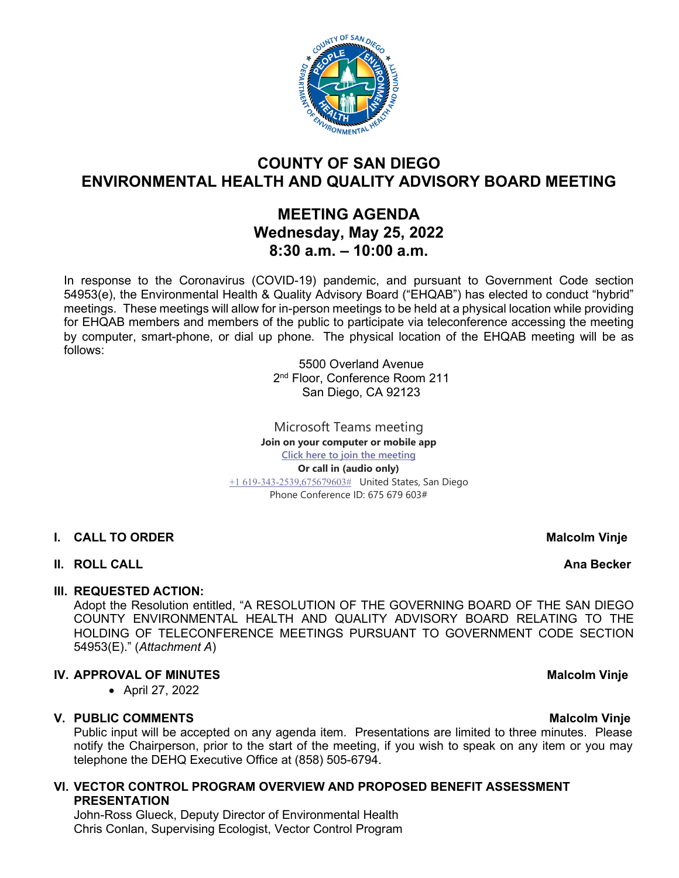

# **COUNTY OF SAN DIEGO ENVIRONMENTAL HEALTH AND QUALITY ADVISORY BOARD MEETING**

# **MEETING AGENDA Wednesday, May 25, 2022 8:30 a.m. – 10:00 a.m.**

In response to the Coronavirus (COVID-19) pandemic, and pursuant to Government Code section 54953(e), the Environmental Health & Quality Advisory Board ("EHQAB") has elected to conduct "hybrid" meetings. These meetings will allow for in-person meetings to be held at a physical location while providing for EHQAB members and members of the public to participate via teleconference accessing the meeting by computer, smart-phone, or dial up phone. The physical location of the EHQAB meeting will be as follows:

> 5500 Overland Avenue 2<sup>nd</sup> Floor, Conference Room 211 San Diego, CA 92123

Microsoft Teams meeting **Join on your computer or mobile app [Click here to join the meeting](https://teams.microsoft.com/l/meetup-join/19%3ameeting_YTBhMzBhYjctMTVmZi00N2ZjLThiMDEtNDIwOTliMTc5YWYz%40thread.v2/0?context=%7b%22Tid%22%3a%224563af13-c029-41b3-b74c-965e8eec8f96%22%2c%22Oid%22%3a%224570e91c-15b4-44d5-a1ca-564bec5e2a6c%22%7d) Or call in (audio only)** [+1 619-343-2539,675679603#](tel:+16193432539,,675679603#%20) United States, San Diego Phone Conference ID: 675 679 603#

- **I. CALL TO ORDER** Malcolm **Vinje**
- **II. ROLL CALL Ana Becker**

# **III. REQUESTED ACTION:**

Adopt the Resolution entitled, "A RESOLUTION OF THE GOVERNING BOARD OF THE SAN DIEGO COUNTY ENVIRONMENTAL HEALTH AND QUALITY ADVISORY BOARD RELATING TO THE HOLDING OF TELECONFERENCE MEETINGS PURSUANT TO GOVERNMENT CODE SECTION 54953(E)." (*Attachment A*)

# **IV. APPROVAL OF MINUTES** Malcolm Vinje

• April 27, 2022

# **V. PUBLIC COMMENTS Malcolm Vinje**

Public input will be accepted on any agenda item. Presentations are limited to three minutes. Please notify the Chairperson, prior to the start of the meeting, if you wish to speak on any item or you may telephone the DEHQ Executive Office at (858) 505-6794.

### **VI. VECTOR CONTROL PROGRAM OVERVIEW AND PROPOSED BENEFIT ASSESSMENT PRESENTATION**

John-Ross Glueck, Deputy Director of Environmental Health Chris Conlan, Supervising Ecologist, Vector Control Program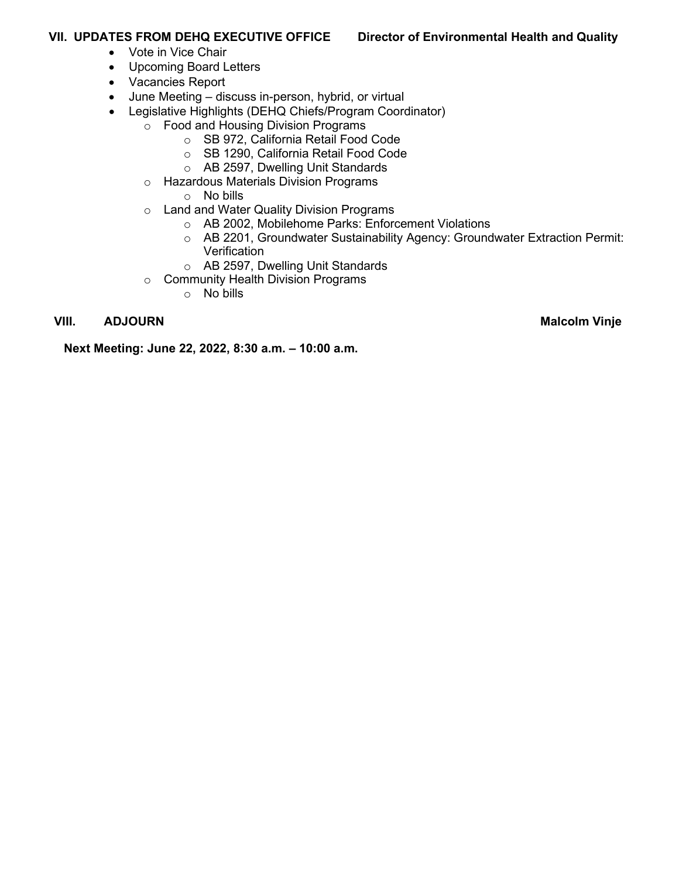## **VII. UPDATES FROM DEHQ EXECUTIVE OFFICE Director of Environmental Health and Quality**

- Vote in Vice Chair
- Upcoming Board Letters
- Vacancies Report
- June Meeting discuss in-person, hybrid, or virtual
- Legislative Highlights (DEHQ Chiefs/Program Coordinator)
	- o Food and Housing Division Programs
		- o SB 972, California Retail Food Code
		- o SB 1290, California Retail Food Code
		- o AB 2597, Dwelling Unit Standards
	- o Hazardous Materials Division Programs
		- o No bills
	- o Land and Water Quality Division Programs
		- o AB 2002, Mobilehome Parks: Enforcement Violations
		- o AB 2201, Groundwater Sustainability Agency: Groundwater Extraction Permit: **Verification**
		- o AB 2597, Dwelling Unit Standards
	- o Community Health Division Programs
		- o No bills

# **VIII.** ADJOURN Malcolm Vinje

**Next Meeting: June 22, 2022, 8:30 a.m. – 10:00 a.m.**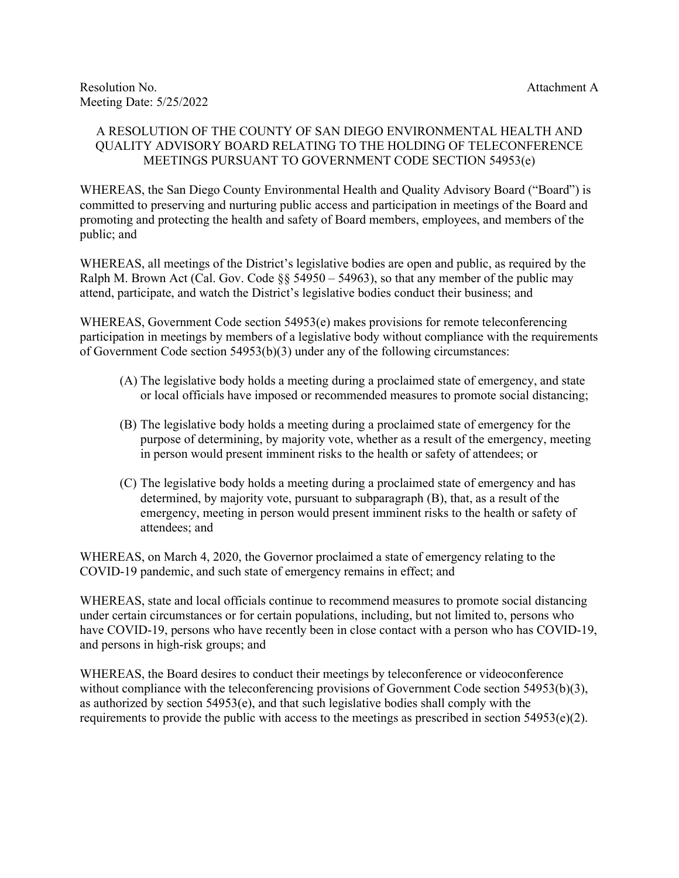### A RESOLUTION OF THE COUNTY OF SAN DIEGO ENVIRONMENTAL HEALTH AND QUALITY ADVISORY BOARD RELATING TO THE HOLDING OF TELECONFERENCE MEETINGS PURSUANT TO GOVERNMENT CODE SECTION 54953(e)

WHEREAS, the San Diego County Environmental Health and Quality Advisory Board ("Board") is committed to preserving and nurturing public access and participation in meetings of the Board and promoting and protecting the health and safety of Board members, employees, and members of the public; and

WHEREAS, all meetings of the District's legislative bodies are open and public, as required by the Ralph M. Brown Act (Cal. Gov. Code  $\S$ § 54950 – 54963), so that any member of the public may attend, participate, and watch the District's legislative bodies conduct their business; and

WHEREAS, Government Code section 54953(e) makes provisions for remote teleconferencing participation in meetings by members of a legislative body without compliance with the requirements of Government Code section 54953(b)(3) under any of the following circumstances:

- (A) The legislative body holds a meeting during a proclaimed state of emergency, and state or local officials have imposed or recommended measures to promote social distancing;
- (B) The legislative body holds a meeting during a proclaimed state of emergency for the purpose of determining, by majority vote, whether as a result of the emergency, meeting in person would present imminent risks to the health or safety of attendees; or
- (C) The legislative body holds a meeting during a proclaimed state of emergency and has determined, by majority vote, pursuant to subparagraph (B), that, as a result of the emergency, meeting in person would present imminent risks to the health or safety of attendees; and

WHEREAS, on March 4, 2020, the Governor proclaimed a state of emergency relating to the COVID-19 pandemic, and such state of emergency remains in effect; and

WHEREAS, state and local officials continue to recommend measures to promote social distancing under certain circumstances or for certain populations, including, but not limited to, persons who have COVID-19, persons who have recently been in close contact with a person who has COVID-19, and persons in high-risk groups; and

WHEREAS, the Board desires to conduct their meetings by teleconference or videoconference without compliance with the teleconferencing provisions of Government Code section 54953(b)(3), as authorized by section 54953(e), and that such legislative bodies shall comply with the requirements to provide the public with access to the meetings as prescribed in section  $54953(e)(2)$ .